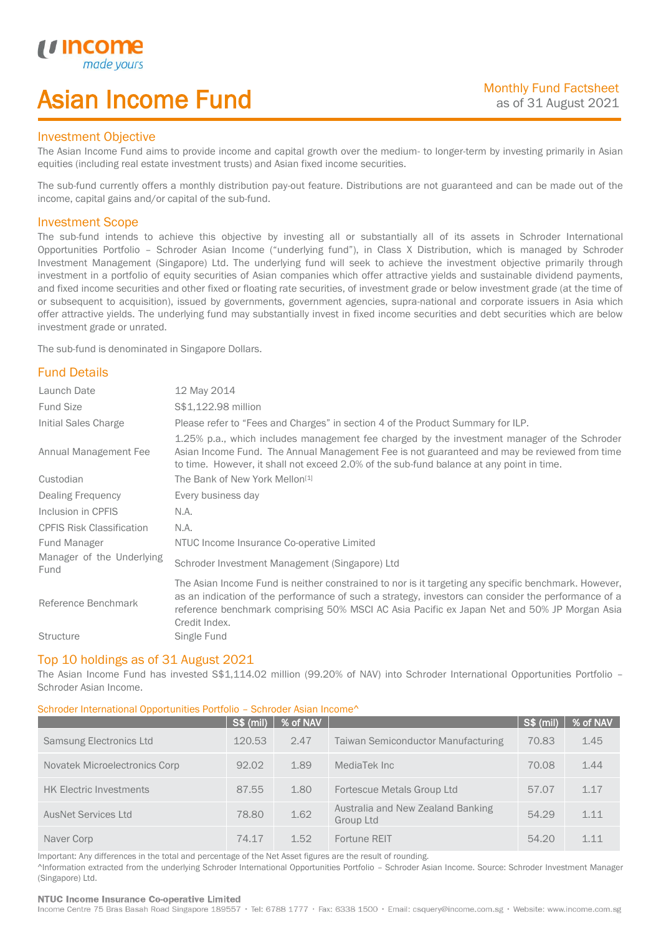## Asian Income Fund

#### Investment Objective

u incor

I

The Asian Income Fund aims to provide income and capital growth over the medium- to longer-term by investing primarily in Asian equities (including real estate investment trusts) and Asian fixed income securities.

The sub-fund currently offers a monthly distribution pay-out feature. Distributions are not guaranteed and can be made out of the income, capital gains and/or capital of the sub-fund.

#### Investment Scope

The sub-fund intends to achieve this objective by investing all or substantially all of its assets in Schroder International Opportunities Portfolio – Schroder Asian Income ("underlying fund"), in Class X Distribution, which is managed by Schroder Investment Management (Singapore) Ltd. The underlying fund will seek to achieve the investment objective primarily through investment in a portfolio of equity securities of Asian companies which offer attractive yields and sustainable dividend payments, and fixed income securities and other fixed or floating rate securities, of investment grade or below investment grade (at the time of or subsequent to acquisition), issued by governments, government agencies, supra-national and corporate issuers in Asia which offer attractive yields. The underlying fund may substantially invest in fixed income securities and debt securities which are below investment grade or unrated.

The sub-fund is denominated in Singapore Dollars.

## Fund Details

| Launch Date                       | 12 May 2014                                                                                                                                                                                                                                                                                                                 |
|-----------------------------------|-----------------------------------------------------------------------------------------------------------------------------------------------------------------------------------------------------------------------------------------------------------------------------------------------------------------------------|
| <b>Fund Size</b>                  | \$\$1,122.98 million                                                                                                                                                                                                                                                                                                        |
| Initial Sales Charge              | Please refer to "Fees and Charges" in section 4 of the Product Summary for ILP.                                                                                                                                                                                                                                             |
| Annual Management Fee             | 1.25% p.a., which includes management fee charged by the investment manager of the Schroder<br>Asian Income Fund. The Annual Management Fee is not guaranteed and may be reviewed from time<br>to time. However, it shall not exceed 2.0% of the sub-fund balance at any point in time.                                     |
| Custodian                         | The Bank of New York Mellon <sup>[1]</sup>                                                                                                                                                                                                                                                                                  |
| Dealing Frequency                 | Every business day                                                                                                                                                                                                                                                                                                          |
| Inclusion in CPFIS                | N.A.                                                                                                                                                                                                                                                                                                                        |
| <b>CPFIS Risk Classification</b>  | N.A.                                                                                                                                                                                                                                                                                                                        |
| Fund Manager                      | NTUC Income Insurance Co-operative Limited                                                                                                                                                                                                                                                                                  |
| Manager of the Underlying<br>Fund | Schroder Investment Management (Singapore) Ltd                                                                                                                                                                                                                                                                              |
| Reference Benchmark               | The Asian Income Fund is neither constrained to nor is it targeting any specific benchmark. However,<br>as an indication of the performance of such a strategy, investors can consider the performance of a<br>reference benchmark comprising 50% MSCI AC Asia Pacific ex Japan Net and 50% JP Morgan Asia<br>Credit Index. |
| <b>Structure</b>                  | Single Fund                                                                                                                                                                                                                                                                                                                 |

#### Top 10 holdings as of 31 August 2021

The Asian Income Fund has invested S\$1,114.02 million (99.20% of NAV) into Schroder International Opportunities Portfolio -Schroder Asian Income.

### Schroder International Opportunities Portfolio – Schroder Asian Income^

|                                | <b>S\$ (mil)</b> | % of NAV |                                                | <b>S\$ (mil)</b> | % of NAV |
|--------------------------------|------------------|----------|------------------------------------------------|------------------|----------|
| Samsung Electronics Ltd        | 120.53           | 2.47     | <b>Taiwan Semiconductor Manufacturing</b>      | 70.83            | 1.45     |
| Novatek Microelectronics Corp  | 92.02            | 1.89     | MediaTek Inc                                   | 70.08            | 1.44     |
| <b>HK Electric Investments</b> | 87.55            | 1.80     | Fortescue Metals Group Ltd                     | 57.07            | 1.17     |
| <b>AusNet Services Ltd</b>     | 78.80            | 1.62     | Australia and New Zealand Banking<br>Group Ltd | 54.29            | 1.11     |
| Naver Corp                     | 74.17            | 1.52     | Fortune REIT                                   | 54.20            | 1.11     |

Important: Any differences in the total and percentage of the Net Asset figures are the result of rounding. ^Information extracted from the underlying Schroder International Opportunities Portfolio – Schroder Asian Income. Source: Schroder Investment Manager (Singapore) Ltd.

#### NTUC Income Insurance Co-operative Limited

Income Centre 75 Bras Basah Road Singapore 189557 · Tel: 6788 1777 · Fax: 6338 1500 · Email: csquery@income.com.sg · Website: www.income.com.sg